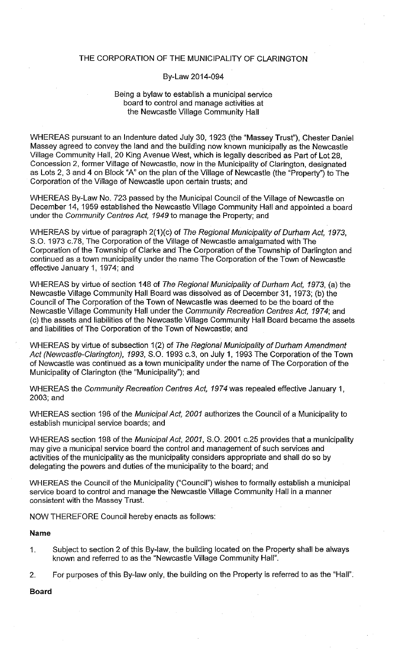### THE CORPORATION OF THE MUNICIPALITY OF CLARINGTON

### By-Law 2014-094

## Being a bylaw to establish a municipal service board to control and manage activities at the Newcastle Village Community Hall

WHEREAS pursuant to an Indenture dated July 30, 1923 (the "Massey Trust"), Chester Daniel Massey agreed to convey the land and the building now known municipally as the Newcastle Village Community Hall, 20 King Avenue West, which is legally described as Part of Lot 28, Concession 2, former Village of Newcastle, now in the Municipality of Clarington, designated as Lots 2, 3 and 4 on Block "A" on the plan of the Village of Newcastle (the "Property") to The Corporation of the Village of Newcastle upon certain trusts; and

WHEREAS By-Law No. 723 passed by the Municipal Council of the Village of Newcastle on December 14, 1959 established the Newcastle Village Community Hall and appointed a board under the Community Centres Act, 1949 to manage the Property; and

WHEREAS by virtue of paragraph 2(1)(c) of The Regional Municipality of Durham Act, 1973, S.O. 1973 c.78, The Corporation of the Village of Newcastle amalgamated with The Corporation of the Township of Clarke and The Corporation of the Township of Darlington and continued as a town municipality under the name The Corporation of the Town of Newcastle effective January 1, 1974; and

WHEREAS by virtue of section 148 of The Regional Municipality of Durham Act, 1973, (a) the Newcastle Village Community Hall Board was dissolved as of December 31, 1973; (b) the Council of The Corporation of the Town of Newcastle was deemed to be the board of the Newcastle Village Community Hall under the Community Recreation Centres Act, 1974; and (c) the assets and liabilities of the Newcastle Village Community Hall Board became the assets and liabilities of The Corporation of the Town of Newcastle; and

WHEREAS by virtue of subsection 1(2) of The Regional Municipality of Durham Amendment Act (Newcastle-Clarington), 1993, S.O. 1993 c.3, on July 1, 1993 The Corporation of the Town of Newcastle was continued as a town municipality under the name of The Corporation of the Municipality of Clarington (the "Municipality"); and

WHEREAS the Community Recreation Centres Act, 1974 was repealed effective January 1, 2003; and

WHEREAS section 196 of the Municipal Act, 2001 authorizes the Council of a Municipality to establish municipal service boards; and

WHEREAS section 198 of the Municipal Act, 2001, S.O. 2001 c.25 provides that a municipality may give a municipal service board the control and management of such services and activities of the municipality as the municipality considers appropriate and shall do so by delegating the powers and duties of the municipality to the board; and

WHEREAS the Council of the Municipality ("Council") wishes to formally establish a municipal service board to control and manage the Newcastle Village Community Hall in a manner consistent with the Massey Trust.

NOW THEREFORE Council hereby enacts as follows:

#### **Name**

- Subject to section 2 of this By-law, the building located on the Property shall be always  $\mathbf{1}$ . known and referred to as the "Newcastle Village Community Hall".
- For purposes of this By-law only, the building on the Property is referred to as the "Hall".  $2.$

**Board**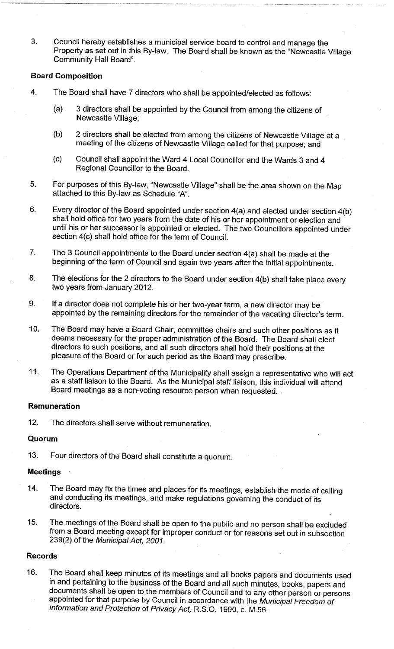3. Council hereby establishes a municipal service board to control and manage the Property as set out in this By-law. The Board shall be known as the "Newcastle Village Community Hall Board".

## **Board Composition**

- $\overline{4}$ . The Board shall have 7 directors who shall be appointed/elected as follows:
	- 3 directors shall be appointed by the Council from among the citizens of  $(a)$ Newcastle Village;
	- 2 directors shall be elected from among the citizens of Newcastle Village at a  $(b)$ meeting of the citizens of Newcastle Village called for that purpose; and
	- $(c)$ Council shall appoint the Ward 4 Local Councillor and the Wards 3 and 4 Regional Councillor to the Board.
- 5. For purposes of this By-law, "Newcastle Village" shall be the area shown on the Map attached to this By-law as Schedule "A".
- Every director of the Board appointed under section  $4(a)$  and elected under section  $4(b)$ 6. shall hold office for two years from the date of his or her appointment or election and until his or her successor is appointed or elected. The two Councillors appointed under section 4(c) shall hold office for the term of Council.
- 7. The 3 Council appointments to the Board under section 4(a) shall be made at the beginning of the term of Council and again two years after the initial appointments.
- 8. The elections for the 2 directors to the Board under section 4(b) shall take place every two years from January 2012.
- If a director does not complete his or her two-year term, a new director may be 9. appointed by the remaining directors for the remainder of the vacating director's term.
- The Board may have a Board Chair, committee chairs and such other positions as it 10. deems necessary for the proper administration of the Board. The Board shall elect directors to such positions, and all such directors shall hold their positions at the pleasure of the Board or for such period as the Board may prescribe.
- The Operations Department of the Municipality shall assign a representative who will act  $11.$ as a staff liaison to the Board. As the Municipal staff liaison, this individual will attend Board meetings as a non-voting resource person when requested.

### Remuneration

The directors shall serve without remuneration.  $12.$ 

### Quorum

Four directors of the Board shall constitute a quorum.  $13.$ 

### **Meetings**

- The Board may fix the times and places for its meetings, establish the mode of calling  $14.$ and conducting its meetings, and make regulations governing the conduct of its directors.
- 15. The meetings of the Board shall be open to the public and no person shall be excluded from a Board meeting except for improper conduct or for reasons set out in subsection 239(2) of the Municipal Act, 2001.

### **Records**

The Board shall keep minutes of its meetings and all books papers and documents used 16. in and pertaining to the business of the Board and all such minutes, books, papers and documents shall be open to the members of Council and to any other person or persons appointed for that purpose by Council in accordance with the Municipal Freedom of Information and Protection of Privacy Act, R.S.O. 1990, c. M.56.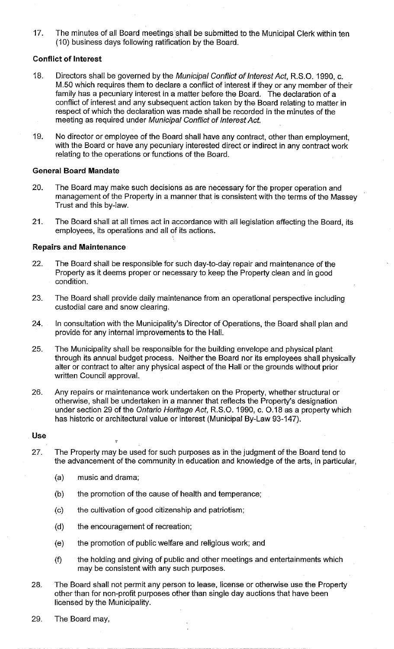The minutes of all Board meetings shall be submitted to the Municipal Clerk within ten  $17<sub>1</sub>$ (10) business days following ratification by the Board.

## **Conflict of Interest**

- 18. Directors shall be governed by the Municipal Conflict of Interest Act, R.S.O. 1990, c. M.50 which requires them to declare a conflict of interest if they or any member of their family has a pecuniary interest in a matter before the Board. The declaration of a conflict of interest and any subsequent action taken by the Board relating to matter in respect of which the declaration was made shall be recorded in the minutes of the meeting as required under Municipal Conflict of Interest Act.
- No director or employee of the Board shall have any contract, other than employment, 19. with the Board or have any pecuniary interested direct or indirect in any contract work relating to the operations or functions of the Board.

### **General Board Mandate**

- 20. The Board may make such decisions as are necessary for the proper operation and management of the Property in a manner that is consistent with the terms of the Massey Trust and this by-law.
- The Board shall at all times act in accordance with all legislation affecting the Board, its  $21.$ employees, its operations and all of its actions.

### **Repairs and Maintenance**

- 22. The Board shall be responsible for such day-to-day repair and maintenance of the Property as it deems proper or necessary to keep the Property clean and in good condition.
- 23. The Board shall provide daily maintenance from an operational perspective including custodial care and snow clearing.
- 24. In consultation with the Municipality's Director of Operations, the Board shall plan and provide for any internal improvements to the Hall.
- 25. The Municipality shall be responsible for the building envelope and physical plant through its annual budget process. Neither the Board nor its employees shall physically alter or contract to alter any physical aspect of the Hall or the grounds without prior written Council approval.
- 26. Any repairs or maintenance work undertaken on the Property, whether structural or otherwise, shall be undertaken in a manner that reflects the Property's designation under section 29 of the Ontario Heritage Act, R.S.O. 1990, c. O.18 as a property which has historic or architectural value or interest (Municipal By-Law 93-147).

### **Use**

- 27. The Property may be used for such purposes as in the judgment of the Board tend to the advancement of the community in education and knowledge of the arts, in particular,
	- music and drama;  $(a)$
	- $(b)$ the promotion of the cause of health and temperance;
	- $(c)$ the cultivation of good citizenship and patriotism;
	- the encouragement of recreation;  $(d)$
	- the promotion of public welfare and religious work; and  $(e)$
	- the holding and giving of public and other meetings and entertainments which  $(f)$ may be consistent with any such purposes.
- The Board shall not permit any person to lease, license or otherwise use the Property 28. other than for non-profit purposes other than single day auctions that have been licensed by the Municipality.
- 29. The Board may,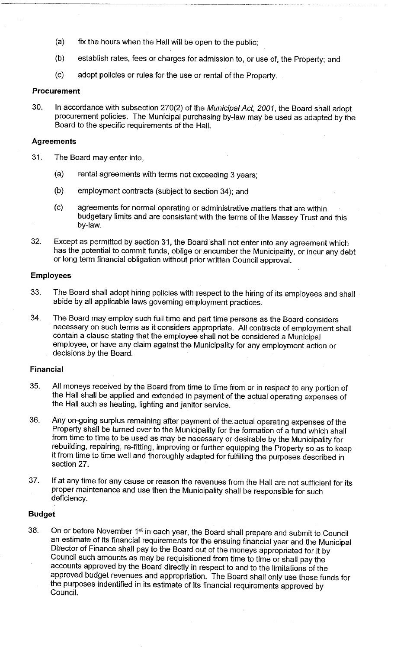- $(a)$ fix the hours when the Hall will be open to the public;
- $(b)$ establish rates, fees or charges for admission to, or use of, the Property; and
- $(c)$ adopt policies or rules for the use or rental of the Property.

#### Procurement

30. In accordance with subsection 270(2) of the Municipal Act, 2001, the Board shall adopt procurement policies. The Municipal purchasing by-law may be used as adapted by the Board to the specific requirements of the Hall.

#### **Agreements**

- 31. The Board may enter into,
	- $(a)$ rental agreements with terms not exceeding 3 years:
	- $(b)$ employment contracts (subject to section 34); and
	- agreements for normal operating or administrative matters that are within  $(c)$ budgetary limits and are consistent with the terms of the Massey Trust and this by-law.
- 32. Except as permitted by section 31, the Board shall not enter into any agreement which has the potential to commit funds, oblige or encumber the Municipality, or incur any debt or long term financial obligation without prior written Council approval.

# **Employees**

- The Board shall adopt hiring policies with respect to the hiring of its employees and shall 33. abide by all applicable laws governing employment practices.
- The Board may employ such full time and part time persons as the Board considers 34. necessary on such terms as it considers appropriate. All contracts of employment shall contain a clause stating that the employee shall not be considered a Municipal employee, or have any claim against the Municipality for any employment action or decisions by the Board.

#### **Financial**

- 35. All moneys received by the Board from time to time from or in respect to any portion of the Hall shall be applied and extended in payment of the actual operating expenses of the Hall such as heating, lighting and janitor service.
- 36. Any on-going surplus remaining after payment of the actual operating expenses of the Property shall be turned over to the Municipality for the formation of a fund which shall from time to time to be used as may be necessary or desirable by the Municipality for rebuilding, repairing, re-fitting, improving or further equipping the Property so as to keep it from time to time well and thoroughly adapted for fulfilling the purposes described in section 27.
- 37. If at any time for any cause or reason the revenues from the Hall are not sufficient for its proper maintenance and use then the Municipality shall be responsible for such deficiency.

### **Budget**

On or before November 1<sup>st</sup> in each year, the Board shall prepare and submit to Council 38. an estimate of its financial requirements for the ensuing financial year and the Municipal Director of Finance shall pay to the Board out of the moneys appropriated for it by Council such amounts as may be requisitioned from time to time or shall pay the accounts approved by the Board directly in respect to and to the limitations of the approved budget revenues and appropriation. The Board shall only use those funds for the purposes indentified in its estimate of its financial requirements approved by Council.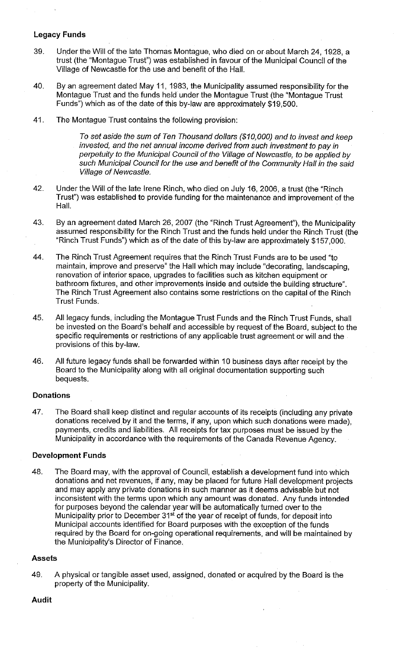## **Legacy Funds**

- 39. Under the Will of the late Thomas Montague, who died on or about March 24, 1928, a trust (the "Montague Trust") was established in favour of the Municipal Council of the Village of Newcastle for the use and benefit of the Hall.
- 40. By an agreement dated May 11, 1983, the Municipality assumed responsibility for the Montague Trust and the funds held under the Montague Trust (the "Montague Trust Funds") which as of the date of this by-law are approximately \$19,500.
- 41. The Montague Trust contains the following provision:

To set aside the sum of Ten Thousand dollars (\$10,000) and to invest and keep invested, and the net annual income derived from such investment to pay in perpetuity to the Municipal Council of the Village of Newcastle, to be applied by such Municipal Council for the use and benefit of the Community Hall in the said Village of Newcastle.

- 42. Under the Will of the late Irene Rinch, who died on July 16, 2006, a trust (the "Rinch Trust") was established to provide funding for the maintenance and improvement of the Hall.
- By an agreement dated March 26, 2007 (the "Rinch Trust Agreement"), the Municipality 43. assumed responsibility for the Rinch Trust and the funds held under the Rinch Trust (the "Rinch Trust Funds") which as of the date of this by-law are approximately \$157,000.
- The Rinch Trust Agreement requires that the Rinch Trust Funds are to be used "to 44. maintain, improve and preserve" the Hall which may include "decorating, landscaping, renovation of interior space, upgrades to facilities such as kitchen equipment or bathroom fixtures, and other improvements inside and outside the building structure". The Rinch Trust Agreement also contains some restrictions on the capital of the Rinch **Trust Funds.**
- 45. All legacy funds, including the Montague Trust Funds and the Rinch Trust Funds, shall be invested on the Board's behalf and accessible by request of the Board, subject to the specific requirements or restrictions of any applicable trust agreement or will and the provisions of this by-law.
- All future legacy funds shall be forwarded within 10 business days after receipt by the 46. Board to the Municipality along with all original documentation supporting such bequests.

## **Donations**

47. The Board shall keep distinct and regular accounts of its receipts (including any private donations received by it and the terms, if any, upon which such donations were made), payments, credits and liabilities. All receipts for tax purposes must be issued by the Municipality in accordance with the requirements of the Canada Revenue Agency.

#### **Development Funds**

48. The Board may, with the approval of Council, establish a development fund into which donations and net revenues, if any, may be placed for future Hall development projects and may apply any private donations in such manner as it deems advisable but not inconsistent with the terms upon which any amount was donated. Any funds intended for purposes beyond the calendar year will be automatically turned over to the<br>Municipality prior to December 31<sup>st</sup> of the year of receipt of funds, for deposit into Municipal accounts identified for Board purposes with the exception of the funds required by the Board for on-going operational requirements, and will be maintained by the Municipality's Director of Finance.

### **Assets**

49. A physical or tangible asset used, assigned, donated or acquired by the Board is the property of the Municipality.

#### **Audit**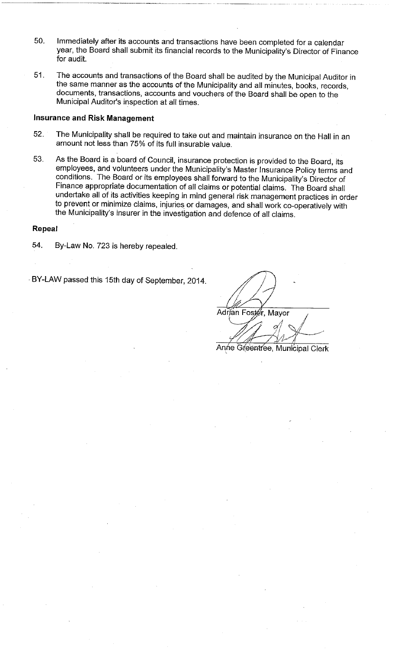- Immediately after its accounts and transactions have been completed for a calendar 50. year, the Board shall submit its financial records to the Municipality's Director of Finance for audit.
- 51. The accounts and transactions of the Board shall be audited by the Municipal Auditor in the same manner as the accounts of the Municipality and all minutes, books, records, documents, transactions, accounts and vouchers of the Board shall be open to the Municipal Auditor's inspection at all times.

### **Insurance and Risk Management**

- 52. The Municipality shall be required to take out and maintain insurance on the Hall in an amount not less than 75% of its full insurable value.
- As the Board is a board of Council, insurance protection is provided to the Board, its 53. employees, and volunteers under the Municipality's Master Insurance Policy terms and conditions. The Board or its employees shall forward to the Municipality's Director of Finance appropriate documentation of all claims or potential claims. The Board shall undertake all of its activities keeping in mind general risk management practices in order to prevent or minimize claims, injuries or damages, and shall work co-operatively with the Municipality's insurer in the investigation and defence of all claims.

#### Repeal

54. By-Law No. 723 is hereby repealed.

BY-LAW passed this 15th day of September, 2014.

Adrian Fost∉r, Mayor

Anne Greentree, Municipal Clerk